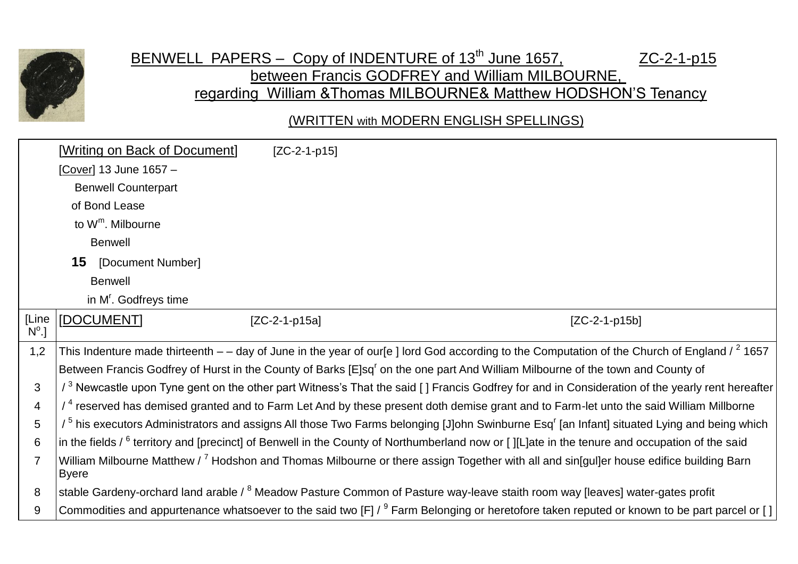

## BENWELL PAPERS – Copy of INDENTURE of 13<sup>th</sup> June 1657, ZC-2-1-p15 between Francis GODFREY and William MILBOURNE, regarding William &Thomas MILBOURNE& Matthew HODSHON'S Tenancy

(WRITTEN with MODERN ENGLISH SPELLINGS)

|                         | [Writing on Back of Document]     | $[ZC-2-1-p15]$                                                                                                                                                     |                 |
|-------------------------|-----------------------------------|--------------------------------------------------------------------------------------------------------------------------------------------------------------------|-----------------|
|                         | [Cover] 13 June 1657 -            |                                                                                                                                                                    |                 |
|                         | <b>Benwell Counterpart</b>        |                                                                                                                                                                    |                 |
|                         | of Bond Lease                     |                                                                                                                                                                    |                 |
|                         | to W <sup>m</sup> . Milbourne     |                                                                                                                                                                    |                 |
|                         | <b>Benwell</b>                    |                                                                                                                                                                    |                 |
|                         | 15<br>[Document Number]           |                                                                                                                                                                    |                 |
|                         | <b>Benwell</b>                    |                                                                                                                                                                    |                 |
|                         | in M <sup>r</sup> . Godfreys time |                                                                                                                                                                    |                 |
| [Line<br>$N^{\circ}$ .] | [DOCUMENT]                        | $[ZC-2-1-p15a]$                                                                                                                                                    | $[ZC-2-1-p15b]$ |
| 1,2                     |                                   | This Indenture made thirteenth $-$ - day of June in the year of our[e] lord God according to the Computation of the Church of England / $^2$ 1657                  |                 |
|                         |                                   | Between Francis Godfrey of Hurst in the County of Barks [E]sq <sup>r</sup> on the one part And William Milbourne of the town and County of                         |                 |
| 3                       |                                   | / <sup>3</sup> Newcastle upon Tyne gent on the other part Witness's That the said [] Francis Godfrey for and in Consideration of the yearly rent hereafter         |                 |
| $\overline{4}$          |                                   | $/$ <sup>4</sup> reserved has demised granted and to Farm Let And by these present doth demise grant and to Farm-let unto the said William Millborne               |                 |
| 5                       |                                   | / <sup>5</sup> his executors Administrators and assigns All those Two Farms belonging [J]ohn Swinburne Esq <sup>r</sup> [an Infant] situated Lying and being which |                 |
| 6                       |                                   | in the fields $\ell^6$ territory and [precinct] of Benwell in the County of Northumberland now or [][L]ate in the tenure and occupation of the said                |                 |
|                         | <b>Byere</b>                      | William Milbourne Matthew / <sup>7</sup> Hodshon and Thomas Milbourne or there assign Together with all and sin[gul]er house edifice building Barn                 |                 |
| 8                       |                                   | stable Gardeny-orchard land arable / <sup>8</sup> Meadow Pasture Common of Pasture way-leave staith room way [leaves] water-gates profit                           |                 |
| 9                       |                                   | Commodities and appurtenance whatsoever to the said two [F] / <sup>9</sup> Farm Belonging or heretofore taken reputed or known to be part parcel or []             |                 |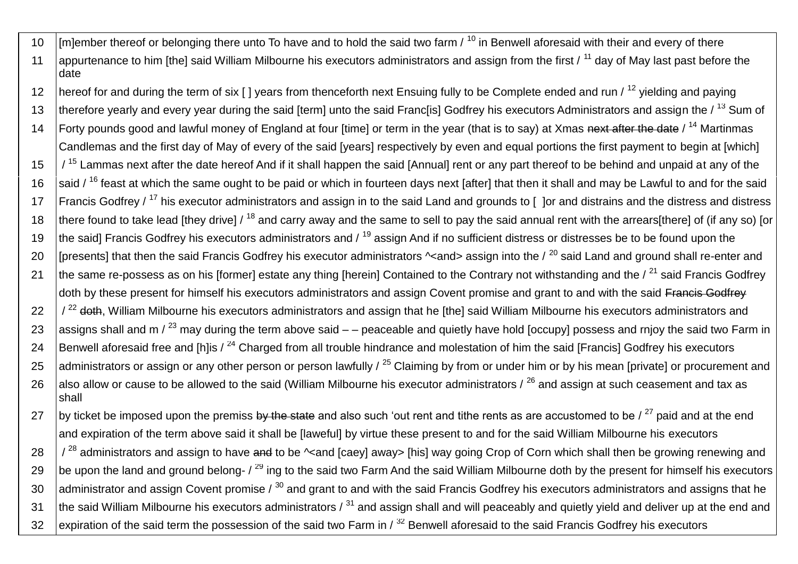- 10  $\parallel$  [m]ember thereof or belonging there unto To have and to hold the said two farm  $\prime$  <sup>10</sup> in Benwell aforesaid with their and every of there 11 appurtenance to him [the] said William Milbourne his executors administrators and assign from the first  $/11$  day of May last past before the date
- 12 hereof for and during the term of six [] years from thenceforth next Ensuing fully to be Complete ended and run / <sup>12</sup> yielding and paying 13 | therefore yearly and every year during the said [term] unto the said Franc[is] Godfrey his executors Administrators and assign the / <sup>13</sup> Sum of 14 Forty pounds good and lawful money of England at four [time] or term in the year (that is to say) at Xmas next after the date / <sup>14</sup> Martinmas
- Candlemas and the first day of May of every of the said [years] respectively by even and equal portions the first payment to begin at [which]  $15$   $\frac{1}{15}$  Lammas next after the date hereof And if it shall happen the said [Annual] rent or any part thereof to be behind and unpaid at any of the 16  $\,$  said / <sup>16</sup> feast at which the same ought to be paid or which in fourteen days next [after] that then it shall and may be Lawful to and for the said
- 17 | Francis Godfrey /<sup>17</sup> his executor administrators and assign in to the said Land and grounds to [ ] or and distrains and the distress and distress 18 there found to take lead [they drive]  $/18$  and carry away and the same to sell to pay the said annual rent with the arrears[there] of (if any so) [or
- 19 the said] Francis Godfrey his executors administrators and / <sup>19</sup> assign And if no sufficient distress or distresses be to be found upon the 20 [presents] that then the said Francis Godfrey his executor administrators  $\sim$ and> assign into the  $\ell^{20}$  said Land and ground shall re-enter and 21 the same re-possess as on his [former] estate any thing [herein] Contained to the Contrary not withstanding and the  $\ell^{21}$  said Francis Godfrey doth by these present for himself his executors administrators and assign Covent promise and grant to and with the said Francis Godfrey  $22$   $\frac{1}{2}$  doth, William Milbourne his executors administrators and assign that he [the] said William Milbourne his executors administrators and
- 23 assigns shall and m  $\binom{23}{1}$  may during the term above said  $-$  peaceable and quietly have hold [occupy] possess and rnjoy the said two Farm in
- 24 Benwell aforesaid free and [h]is  $\lambda^{24}$  Charged from all trouble hindrance and molestation of him the said [Francis] Godfrey his executors 25 administrators or assign or any other person or person lawfully  $\frac{25}{5}$  Claiming by from or under him or by his mean [private] or procurement and
- 26 also allow or cause to be allowed to the said (William Milbourne his executor administrators  $\ell^{26}$  and assign at such ceasement and tax as shall
- 27 by ticket be imposed upon the premiss by the state and also such 'out rent and tithe rents as are accustomed to be  $\ell^{27}$  paid and at the end and expiration of the term above said it shall be [laweful] by virtue these present to and for the said William Milbourne his executors

 $28$   $\frac{1}{28}$  administrators and assign to have and to be  $\sim$  and [caey] away> [his] way going Crop of Corn which shall then be growing renewing and 29 be upon the land and ground belong-  $\ell^{29}$  ing to the said two Farm And the said William Milbourne doth by the present for himself his executors 30 administrator and assign Covent promise  $\lambda^{30}$  and grant to and with the said Francis Godfrey his executors administrators and assigns that he 31 the said William Milbourne his executors administrators  $\lambda^{31}$  and assign shall and will peaceably and quietly yield and deliver up at the end and 32 expiration of the said term the possession of the said two Farm in  $\beta$ <sup>32</sup> Benwell aforesaid to the said Francis Godfrey his executors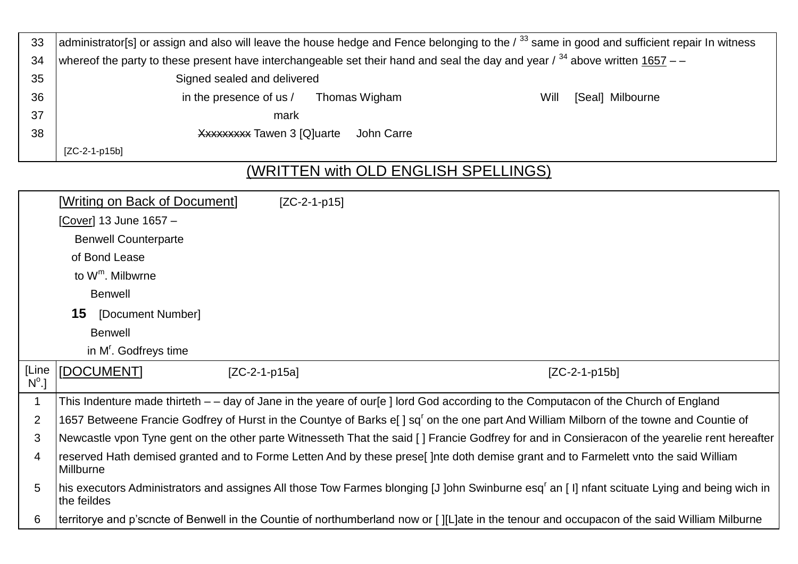| 33               | administrator[s] or assign and also will leave the house hedge and Fence belonging to the / 33 same in good and sufficient repair In witness |  |  |  |  |
|------------------|----------------------------------------------------------------------------------------------------------------------------------------------|--|--|--|--|
| 34               | whereof the party to these present have interchangeable set their hand and seal the day and year / $34$ above written 1657 – –               |  |  |  |  |
| 35               | Signed sealed and delivered                                                                                                                  |  |  |  |  |
| 36               | in the presence of us /<br>Will<br>Thomas Wigham<br>[Seal] Milbourne                                                                         |  |  |  |  |
| 37               | mark                                                                                                                                         |  |  |  |  |
| 38               | Xxxxxxxx Tawen 3 [Q]uarte<br>John Carre                                                                                                      |  |  |  |  |
|                  | $[ZC-2-1-p15b]$                                                                                                                              |  |  |  |  |
| $\overline{111}$ |                                                                                                                                              |  |  |  |  |

## (WRITTEN with OLD ENGLISH SPELLINGS)

|                         | [Writing on Back of Document]     | $[ZC-2-1-p15]$ |                                                                                                                                                         |
|-------------------------|-----------------------------------|----------------|---------------------------------------------------------------------------------------------------------------------------------------------------------|
|                         | [Cover] 13 June 1657 -            |                |                                                                                                                                                         |
|                         | <b>Benwell Counterparte</b>       |                |                                                                                                                                                         |
|                         | of Bond Lease                     |                |                                                                                                                                                         |
|                         | to $W^m$ . Milbwrne               |                |                                                                                                                                                         |
|                         | <b>Benwell</b>                    |                |                                                                                                                                                         |
|                         | <b>15</b> [Document Number]       |                |                                                                                                                                                         |
|                         | <b>Benwell</b>                    |                |                                                                                                                                                         |
|                         | in M <sup>r</sup> . Godfreys time |                |                                                                                                                                                         |
| [Line<br>$N^{\circ}$ .] | [DOCUMENT]<br>$[ZC-2-1-p15a]$     |                | $[ZC-2-1-p15b]$                                                                                                                                         |
| 1                       |                                   |                | This Indenture made thirteth – – day of Jane in the yeare of our[e] lord God according to the Computacon of the Church of England                       |
| $\overline{2}$          |                                   |                | 1657 Betweene Francie Godfrey of Hurst in the Countye of Barks e[] sq <sup>r</sup> on the one part And William Milborn of the towne and Countie of      |
| 3                       |                                   |                | Newcastle vpon Tyne gent on the other parte Witnesseth That the said [] Francie Godfrey for and in Consieracon of the yearelie rent hereafter           |
| 4                       | Millburne                         |                | reserved Hath demised granted and to Forme Letten And by these prese[] nte doth demise grant and to Farmelett vnto the said William                     |
| 5                       | the feildes                       |                | his executors Administrators and assignes All those Tow Farmes blonging [J]ohn Swinburne esq <sup>r</sup> an [I] nfant scituate Lying and being wich in |
| 6                       |                                   |                | territorye and p'scncte of Benwell in the Countie of northumberland now or [][L]ate in the tenour and occupacon of the said William Milburne            |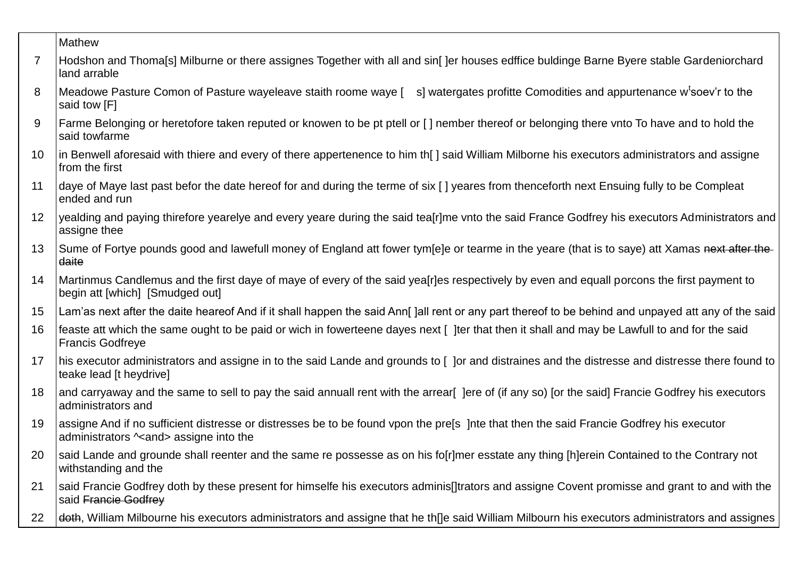|                | Mathew                                                                                                                                                                                  |
|----------------|-----------------------------------------------------------------------------------------------------------------------------------------------------------------------------------------|
| $\overline{7}$ | Hodshon and Thoma[s] Milburne or there assignes Together with all and sin[]er houses edffice buldinge Barne Byere stable Gardeniorchard<br>land arrable                                 |
| 8              | Meadowe Pasture Comon of Pasture wayeleave staith roome waye [ s] watergates profitte Comodities and appurtenance w <sup>t</sup> soev'r to the<br>said tow [F]                          |
| 9              | Farme Belonging or heretofore taken reputed or knowen to be pt ptell or [] nember thereof or belonging there vnto To have and to hold the<br>said towfarme                              |
| 10             | In Benwell aforesaid with thiere and every of there appertenence to him th[] said William Milborne his executors administrators and assigne<br>from the first                           |
| 11             | daye of Maye last past befor the date hereof for and during the terme of six [] yeares from thenceforth next Ensuing fully to be Compleat<br>ended and run                              |
| 12             | yealding and paying thirefore yearelye and every yeare during the said tea[r]me vnto the said France Godfrey his executors Administrators and<br>assigne thee                           |
| 13             | Sume of Fortye pounds good and lawefull money of England att fower tym[e]e or tearme in the yeare (that is to saye) att Xamas next after the<br>daite                                   |
| 14             | Martinmus Candlemus and the first daye of maye of every of the said yea[r]es respectively by even and equall porcons the first payment to<br>begin att [which] [Smudged out]            |
| 15             | Lam'as next after the daite heareof And if it shall happen the said Ann[]all rent or any part thereof to be behind and unpayed att any of the said                                      |
| 16             | feaste att which the same ought to be paid or wich in fowerteene dayes next [ ]ter that then it shall and may be Lawfull to and for the said<br><b>Francis Godfreye</b>                 |
| 17             | his executor administrators and assigne in to the said Lande and grounds to [ ]or and distraines and the distresse and distresse there found to<br>teake lead [t heydrive]              |
| 18             | and carryaway and the same to sell to pay the said annuall rent with the arrear [Jere of (if any so) [or the said] Francie Godfrey his executors<br>administrators and                  |
| 19             | assigne And if no sufficient distresse or distresses be to be found vpon the pre[s ]nte that then the said Francie Godfrey his executor<br>administrators $\sim$ and > assigne into the |
|                | 20 Said Lande and grounde shall reenter and the same re possesse as on his fo[r]mer esstate any thing [h]erein Contained to the Contrary not<br>withstanding and the                    |
| 21             | said Francie Godfrey doth by these present for himselfe his executors adminis[]trators and assigne Covent promisse and grant to and with the<br>said Francie Godfrey                    |
| 22             | doth, William Milbourne his executors administrators and assigne that he thile said William Milbourn his executors administrators and assignes                                          |